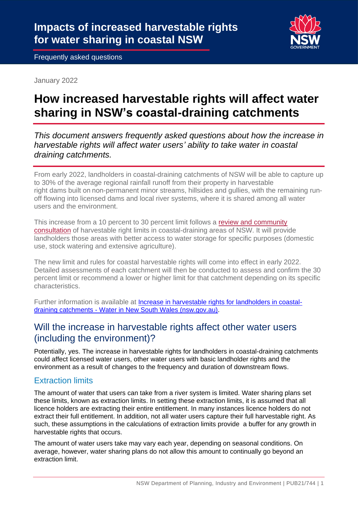

Frequently asked questions

January 2022

# **How increased harvestable rights will affect water sharing in NSW's coastal-draining catchments**

*This document answers frequently asked questions about how the increase in harvestable rights will affect water users' ability to take water in coastal draining catchments.*

From early 2022, landholders in coastal-draining catchments of NSW will be able to capture up to 30% of the average regional rainfall runoff from their property in harvestable right dams built on non-permanent minor streams, hillsides and gullies, with the remaining runoff flowing into licensed dams and local river systems, where it is shared among all water users and the environment.

This increase from a 10 percent to 30 percent limit follows a [review and community](https://www.industry.nsw.gov.au/water/licensing-trade/landholder-rights/harvestable-rights-dams/review)  [consultation](https://www.industry.nsw.gov.au/water/licensing-trade/landholder-rights/harvestable-rights-dams/review) of harvestable right limits in coastal-draining areas of NSW. It will provide landholders those areas with better access to water storage for specific purposes (domestic use, stock watering and extensive agriculture).

The new limit and rules for coastal harvestable rights will come into effect in early 2022. Detailed assessments of each catchment will then be conducted to assess and confirm the 30 percent limit or recommend a lower or higher limit for that catchment depending on its specific characteristics.

Further information is available at [Increase in harvestable rights for landholders in coastal](https://www.industry.nsw.gov.au/water/licensing-trade/landholder-rights/harvestable-rights-dams/increase)draining catchments - [Water in New South Wales \(nsw.gov.au\).](https://www.industry.nsw.gov.au/water/licensing-trade/landholder-rights/harvestable-rights-dams/increase)

## Will the increase in harvestable rights affect other water users (including the environment)?

Potentially, yes. The increase in harvestable rights for landholders in coastal-draining catchments could affect licensed water users, other water users with basic landholder rights and the environment as a result of changes to the frequency and duration of downstream flows.

## Extraction limits

The amount of water that users can take from a river system is limited. Water sharing plans set these limits, known as extraction limits. In setting these extraction limits, it is assumed that all licence holders are extracting their entire entitlement. In many instances licence holders do not extract their full entitlement. In addition, not all water users capture their full harvestable right. As such, these assumptions in the calculations of extraction limits provide a buffer for any growth in harvestable rights that occurs.

The amount of water users take may vary each year, depending on seasonal conditions. On average, however, water sharing plans do not allow this amount to continually go beyond an extraction limit.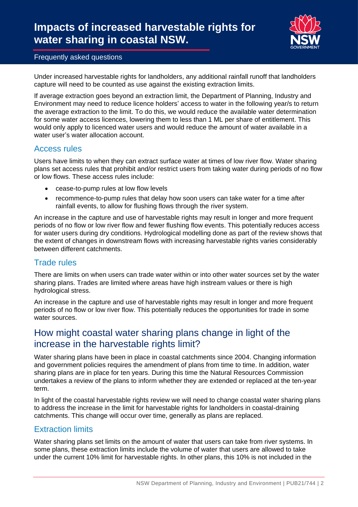# **Impacts of increased harvestable rights for water sharing in coastal NSW.**



#### Frequently asked questions

Under increased harvestable rights for landholders, any additional rainfall runoff that landholders capture will need to be counted as use against the existing extraction limits.

If average extraction goes beyond an extraction limit, the Department of Planning, Industry and Environment may need to reduce licence holders' access to water in the following year/s to return the average extraction to the limit. To do this, we would reduce the available water determination for some water access licences, lowering them to less than 1 ML per share of entitlement. This would only apply to licenced water users and would reduce the amount of water available in a water user's water allocation account.

#### Access rules

Users have limits to when they can extract surface water at times of low river flow. Water sharing plans set access rules that prohibit and/or restrict users from taking water during periods of no flow or low flows. These access rules include:

- cease-to-pump rules at low flow levels
- recommence-to-pump rules that delay how soon users can take water for a time after rainfall events, to allow for flushing flows through the river system.

An increase in the capture and use of harvestable rights may result in longer and more frequent periods of no flow or low river flow and fewer flushing flow events. This potentially reduces access for water users during dry conditions. Hydrological modelling done as part of the review shows that the extent of changes in downstream flows with increasing harvestable rights varies considerably between different catchments.

### Trade rules

There are limits on when users can trade water within or into other water sources set by the water sharing plans. Trades are limited where areas have high instream values or there is high hydrological stress.

An increase in the capture and use of harvestable rights may result in longer and more frequent periods of no flow or low river flow. This potentially reduces the opportunities for trade in some water sources.

# How might coastal water sharing plans change in light of the increase in the harvestable rights limit?

Water sharing plans have been in place in coastal catchments since 2004. Changing information and government policies requires the amendment of plans from time to time. In addition, water sharing plans are in place for ten years. During this time the Natural Resources Commission undertakes a review of the plans to inform whether they are extended or replaced at the ten-year term.

In light of the coastal harvestable rights review we will need to change coastal water sharing plans to address the increase in the limit for harvestable rights for landholders in coastal-draining catchments. This change will occur over time, generally as plans are replaced.

### Extraction limits

Water sharing plans set limits on the amount of water that users can take from river systems. In some plans, these extraction limits include the volume of water that users are allowed to take under the current 10% limit for harvestable rights. In other plans, this 10% is not included in the